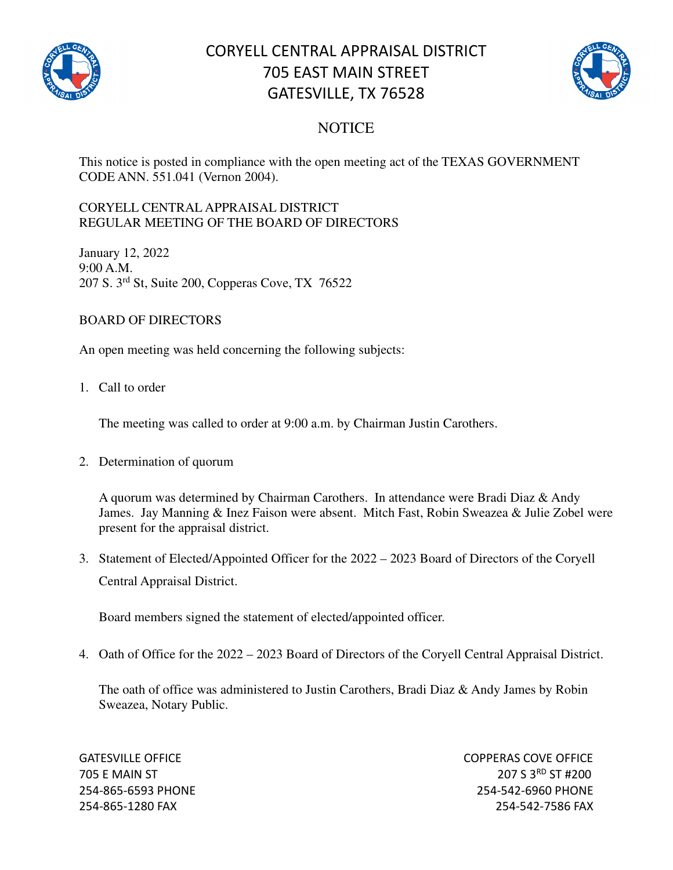

# CORYELL CENTRAL APPRAISAL DISTRICT 705 EAST MAIN STREET GATESVILLE, TX 76528



### **NOTICE**

This notice is posted in compliance with the open meeting act of the TEXAS GOVERNMENT CODE ANN. 551.041 (Vernon 2004).

#### CORYELL CENTRAL APPRAISAL DISTRICT REGULAR MEETING OF THE BOARD OF DIRECTORS

January 12, 2022 9:00 A.M. 207 S. 3rd St, Suite 200, Copperas Cove, TX 76522

### BOARD OF DIRECTORS

An open meeting was held concerning the following subjects:

1. Call to order

The meeting was called to order at 9:00 a.m. by Chairman Justin Carothers.

2. Determination of quorum

A quorum was determined by Chairman Carothers. In attendance were Bradi Diaz & Andy James. Jay Manning & Inez Faison were absent. Mitch Fast, Robin Sweazea & Julie Zobel were present for the appraisal district.

3. Statement of Elected/Appointed Officer for the 2022 – 2023 Board of Directors of the Coryell Central Appraisal District.

Board members signed the statement of elected/appointed officer.

4. Oath of Office for the 2022 – 2023 Board of Directors of the Coryell Central Appraisal District.

The oath of office was administered to Justin Carothers, Bradi Diaz & Andy James by Robin Sweazea, Notary Public.

GATESVILLE OFFICE **COPPERAS COVE OF EXAMPLE 2** 705 E MAIN ST 207 S 3RD ST #200 254-865-6593 PHONE 254-542-6960 PHONE 254-865-1280 FAX 254-542-7586 FAX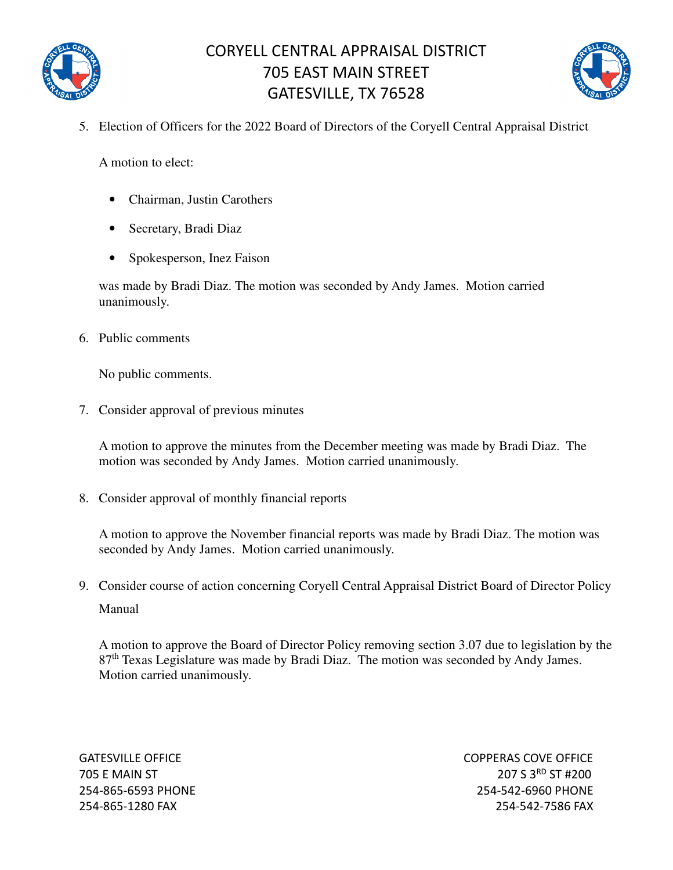

## CORYELL CENTRAL APPRAISAL DISTRICT 705 EAST MAIN STREET GATESVILLE, TX 76528



5. Election of Officers for the 2022 Board of Directors of the Coryell Central Appraisal District

A motion to elect:

- Chairman, Justin Carothers
- Secretary, Bradi Diaz
- Spokesperson, Inez Faison

was made by Bradi Diaz. The motion was seconded by Andy James. Motion carried unanimously.

6. Public comments

No public comments.

7. Consider approval of previous minutes

A motion to approve the minutes from the December meeting was made by Bradi Diaz. The motion was seconded by Andy James. Motion carried unanimously.

8. Consider approval of monthly financial reports

A motion to approve the November financial reports was made by Bradi Diaz. The motion was seconded by Andy James. Motion carried unanimously.

9. Consider course of action concerning Coryell Central Appraisal District Board of Director Policy Manual

A motion to approve the Board of Director Policy removing section 3.07 due to legislation by the 87<sup>th</sup> Texas Legislature was made by Bradi Diaz. The motion was seconded by Andy James. Motion carried unanimously.

GATESVILLE OFFICE COPPERAS COVE OFFICE 705 E MAIN ST 207 S 3RD ST #200 254-865-6593 PHONE 254-542-6960 PHONE 254-865-1280 FAX 254-542-7586 FAX